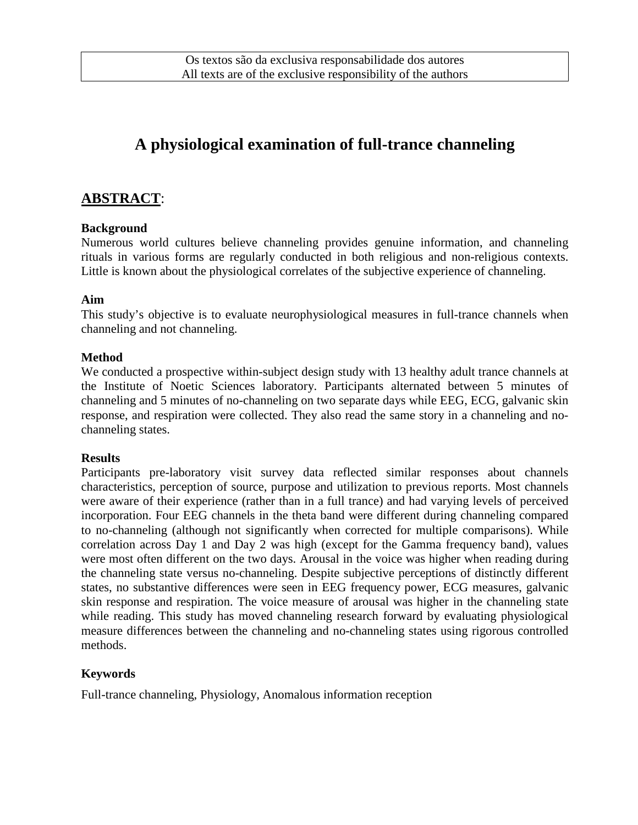# **A physiological examination of full-trance channeling**

## **ABSTRACT**:

### **Background**

Numerous world cultures believe channeling provides genuine information, and channeling rituals in various forms are regularly conducted in both religious and non-religious contexts. Little is known about the physiological correlates of the subjective experience of channeling.

#### **Aim**

This study's objective is to evaluate neurophysiological measures in full-trance channels when channeling and not channeling.

#### **Method**

We conducted a prospective within-subject design study with 13 healthy adult trance channels at the Institute of Noetic Sciences laboratory. Participants alternated between 5 minutes of channeling and 5 minutes of no-channeling on two separate days while EEG, ECG, galvanic skin response, and respiration were collected. They also read the same story in a channeling and nochanneling states.

#### **Results**

Participants pre-laboratory visit survey data reflected similar responses about channels characteristics, perception of source, purpose and utilization to previous reports. Most channels were aware of their experience (rather than in a full trance) and had varying levels of perceived incorporation. Four EEG channels in the theta band were different during channeling compared to no-channeling (although not significantly when corrected for multiple comparisons). While correlation across Day 1 and Day 2 was high (except for the Gamma frequency band), values were most often different on the two days. Arousal in the voice was higher when reading during the channeling state versus no-channeling. Despite subjective perceptions of distinctly different states, no substantive differences were seen in EEG frequency power, ECG measures, galvanic skin response and respiration. The voice measure of arousal was higher in the channeling state while reading. This study has moved channeling research forward by evaluating physiological measure differences between the channeling and no-channeling states using rigorous controlled methods.

### **Keywords**

Full-trance channeling, Physiology, Anomalous information reception